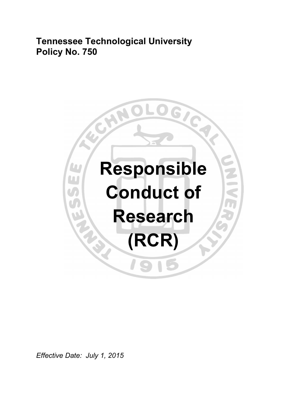**Tennessee Technological University Policy No. 750** 



*Effective Date: July 1, 2015*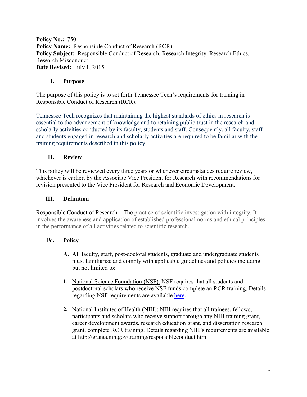**Policy No.:** 750 **Policy Name:** Responsible Conduct of Research (RCR) **Policy Subject:** Responsible Conduct of Research, Research Integrity, Research Ethics, Research Misconduct **Date Revised:** July 1, 2015

#### **I. Purpose**

The purpose of this policy is to set forth Tennessee Tech's requirements for training in Responsible Conduct of Research (RCR).

Tennessee Tech recognizes that maintaining the highest standards of ethics in research is essential to the advancement of knowledge and to retaining public trust in the research and scholarly activities conducted by its faculty, students and staff. Consequently, all faculty, staff and students engaged in research and scholarly activities are required to be familiar with the training requirements described in this policy.

## **II. Review**

This policy will be reviewed every three years or whenever circumstances require review, whichever is earlier, by the Associate Vice President for Research with recommendations for revision presented to the Vice President for Research and Economic Development.

#### **III. Definition**

Responsible Conduct of Research – The practice of scientific investigation with integrity. It involves the awareness and application of established professional norms and ethical principles in the performance of all activities related to scientific research.

## **IV. Policy**

- **A.** All faculty, staff, post-doctoral students, graduate and undergraduate students must familiarize and comply with applicable guidelines and policies including, but not limited to:
- **1.** National Science Foundation (NSF): NSF requires that all students and postdoctoral scholars who receive NSF funds complete an RCR training. Details regarding NSF requirements are available [here.](http://www.nsf.gov/pubs/policydocs/rcr/faqs_mar10.pdf)
- **2.** National Institutes of Health (NIH): NIH requires that all trainees, fellows, participants and scholars who receive support through any NIH training grant, career development awards, research education grant, and dissertation research grant, complete RCR training. Details regarding NIH's requirements are available at http://grants.nih.gov/training/responsibleconduct.htm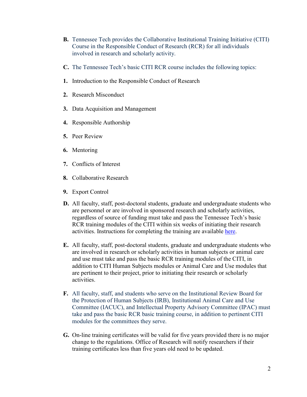- **B.** Tennessee Tech provides the Collaborative Institutional Training Initiative (CITI) Course in the Responsible Conduct of Research (RCR) for all individuals involved in research and scholarly activity.
- **C.** The Tennessee Tech's basic CITI RCR course includes the following topics:
- **1.** Introduction to the Responsible Conduct of Research
- **2.** Research Misconduct
- **3.** Data Acquisition and Management
- **4.** Responsible Authorship
- **5.** Peer Review
- **6.** Mentoring
- **7.** Conflicts of Interest
- **8.** Collaborative Research
- **9.** Export Control
- **D.** All faculty, staff, post-doctoral students, graduate and undergraduate students who are personnel or are involved in sponsored research and scholarly activities, regardless of source of funding must take and pass the Tennessee Tech's basic RCR training modules of the CITI within six weeks of initiating their research activities. Instructions for completing the training are available [here.](https://www.tntech.edu/research/training/)
- **E.** All faculty, staff, post-doctoral students, graduate and undergraduate students who are involved in research or scholarly activities in human subjects or animal care and use must take and pass the basic RCR training modules of the CITI, in addition to CITI Human Subjects modules or Animal Care and Use modules that are pertinent to their project, prior to initiating their research or scholarly activities.
- **F.** All faculty, staff, and students who serve on the Institutional Review Board for the Protection of Human Subjects (IRB), Institutional Animal Care and Use Committee (IACUC), and Intellectual Property Advisory Committee (IPAC) must take and pass the basic RCR basic training course, in addition to pertinent CITI modules for the committees they serve.
- **G.** On-line training certificates will be valid for five years provided there is no major change to the regulations. Office of Research will notify researchers if their training certificates less than five years old need to be updated.